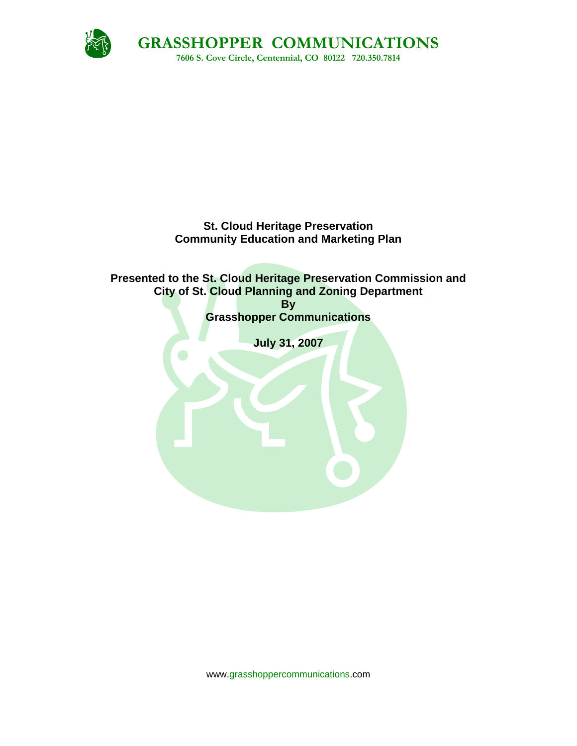

## **St. Cloud Heritage Preservation Community Education and Marketing Plan**

# **Presented to the St. Cloud Heritage Preservation Commission and City of St. Cloud Planning and Zoning Department By Grasshopper Communications July 31, 2007**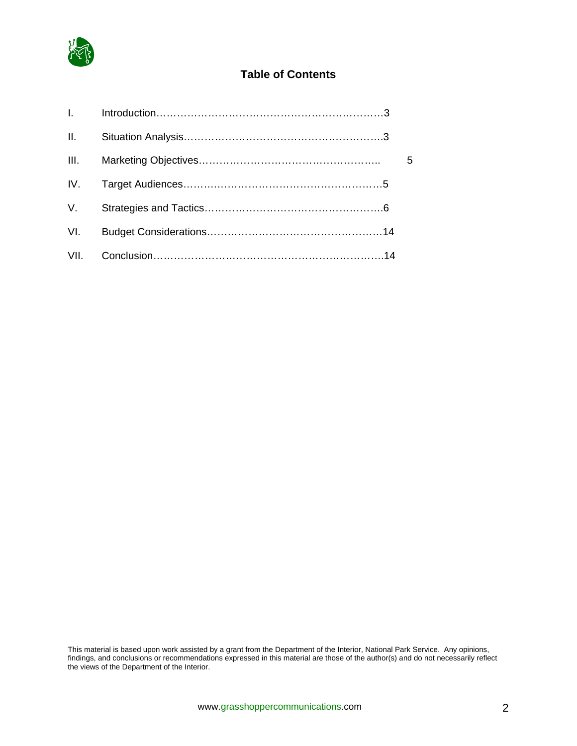

# **Table of Contents**

| II.            |  |    |
|----------------|--|----|
|                |  | -5 |
|                |  |    |
| $V_{\rm{max}}$ |  |    |
| VI.            |  |    |
|                |  |    |

This material is based upon work assisted by a grant from the Department of the Interior, National Park Service. Any opinions, findings, and conclusions or recommendations expressed in this material are those of the author(s) and do not necessarily reflect the views of the Department of the Interior.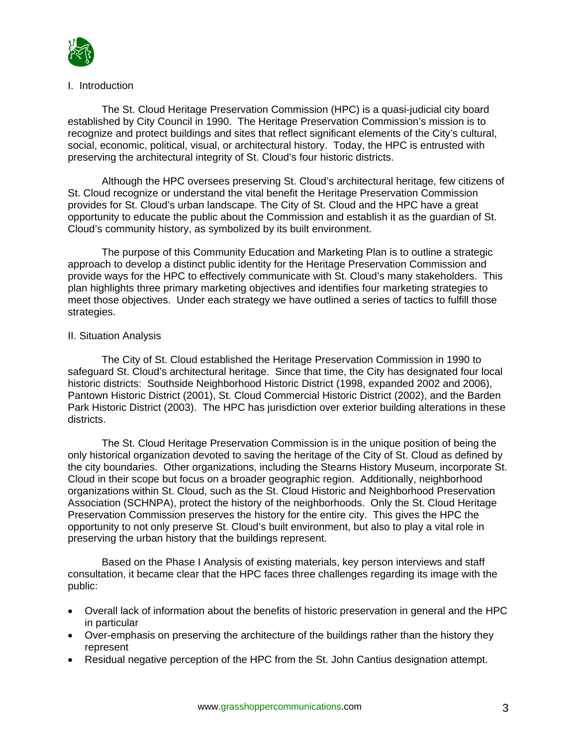

### I. Introduction

 The St. Cloud Heritage Preservation Commission (HPC) is a quasi-judicial city board established by City Council in 1990. The Heritage Preservation Commission's mission is to recognize and protect buildings and sites that reflect significant elements of the City's cultural, social, economic, political, visual, or architectural history. Today, the HPC is entrusted with preserving the architectural integrity of St. Cloud's four historic districts.

 Although the HPC oversees preserving St. Cloud's architectural heritage, few citizens of St. Cloud recognize or understand the vital benefit the Heritage Preservation Commission provides for St. Cloud's urban landscape. The City of St. Cloud and the HPC have a great opportunity to educate the public about the Commission and establish it as the guardian of St. Cloud's community history, as symbolized by its built environment.

 The purpose of this Community Education and Marketing Plan is to outline a strategic approach to develop a distinct public identity for the Heritage Preservation Commission and provide ways for the HPC to effectively communicate with St. Cloud's many stakeholders. This plan highlights three primary marketing objectives and identifies four marketing strategies to meet those objectives. Under each strategy we have outlined a series of tactics to fulfill those strategies.

## II. Situation Analysis

 The City of St. Cloud established the Heritage Preservation Commission in 1990 to safeguard St. Cloud's architectural heritage. Since that time, the City has designated four local historic districts: Southside Neighborhood Historic District (1998, expanded 2002 and 2006), Pantown Historic District (2001), St. Cloud Commercial Historic District (2002), and the Barden Park Historic District (2003). The HPC has jurisdiction over exterior building alterations in these districts.

 The St. Cloud Heritage Preservation Commission is in the unique position of being the only historical organization devoted to saving the heritage of the City of St. Cloud as defined by the city boundaries. Other organizations, including the Stearns History Museum, incorporate St. Cloud in their scope but focus on a broader geographic region. Additionally, neighborhood organizations within St. Cloud, such as the St. Cloud Historic and Neighborhood Preservation Association (SCHNPA), protect the history of the neighborhoods. Only the St. Cloud Heritage Preservation Commission preserves the history for the entire city. This gives the HPC the opportunity to not only preserve St. Cloud's built environment, but also to play a vital role in preserving the urban history that the buildings represent.

Based on the Phase I Analysis of existing materials, key person interviews and staff consultation, it became clear that the HPC faces three challenges regarding its image with the public:

- Overall lack of information about the benefits of historic preservation in general and the HPC in particular
- Over-emphasis on preserving the architecture of the buildings rather than the history they represent
- Residual negative perception of the HPC from the St. John Cantius designation attempt.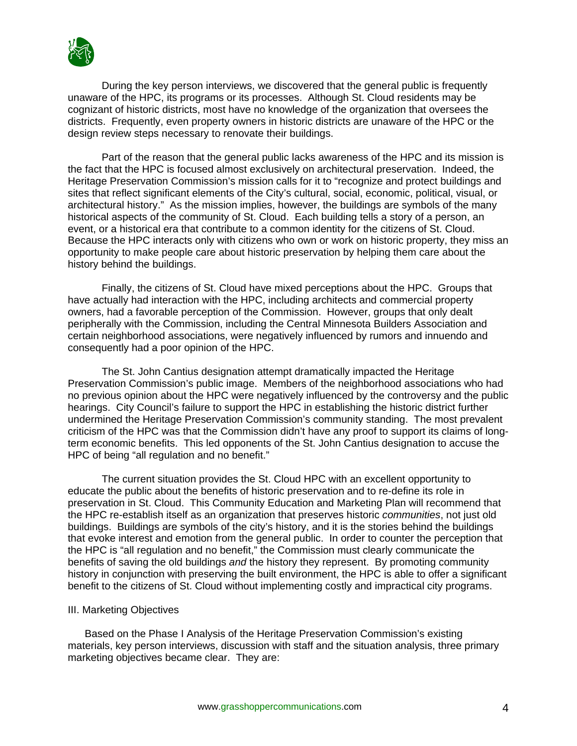

During the key person interviews, we discovered that the general public is frequently unaware of the HPC, its programs or its processes. Although St. Cloud residents may be cognizant of historic districts, most have no knowledge of the organization that oversees the districts. Frequently, even property owners in historic districts are unaware of the HPC or the design review steps necessary to renovate their buildings.

 Part of the reason that the general public lacks awareness of the HPC and its mission is the fact that the HPC is focused almost exclusively on architectural preservation. Indeed, the Heritage Preservation Commission's mission calls for it to "recognize and protect buildings and sites that reflect significant elements of the City's cultural, social, economic, political, visual, or architectural history." As the mission implies, however, the buildings are symbols of the many historical aspects of the community of St. Cloud. Each building tells a story of a person, an event, or a historical era that contribute to a common identity for the citizens of St. Cloud. Because the HPC interacts only with citizens who own or work on historic property, they miss an opportunity to make people care about historic preservation by helping them care about the history behind the buildings.

Finally, the citizens of St. Cloud have mixed perceptions about the HPC. Groups that have actually had interaction with the HPC, including architects and commercial property owners, had a favorable perception of the Commission. However, groups that only dealt peripherally with the Commission, including the Central Minnesota Builders Association and certain neighborhood associations, were negatively influenced by rumors and innuendo and consequently had a poor opinion of the HPC.

The St. John Cantius designation attempt dramatically impacted the Heritage Preservation Commission's public image. Members of the neighborhood associations who had no previous opinion about the HPC were negatively influenced by the controversy and the public hearings. City Council's failure to support the HPC in establishing the historic district further undermined the Heritage Preservation Commission's community standing. The most prevalent criticism of the HPC was that the Commission didn't have any proof to support its claims of longterm economic benefits. This led opponents of the St. John Cantius designation to accuse the HPC of being "all regulation and no benefit."

The current situation provides the St. Cloud HPC with an excellent opportunity to educate the public about the benefits of historic preservation and to re-define its role in preservation in St. Cloud. This Community Education and Marketing Plan will recommend that the HPC re-establish itself as an organization that preserves historic *communities*, not just old buildings. Buildings are symbols of the city's history, and it is the stories behind the buildings that evoke interest and emotion from the general public. In order to counter the perception that the HPC is "all regulation and no benefit," the Commission must clearly communicate the benefits of saving the old buildings *and* the history they represent. By promoting community history in conjunction with preserving the built environment, the HPC is able to offer a significant benefit to the citizens of St. Cloud without implementing costly and impractical city programs.

#### III. Marketing Objectives

Based on the Phase I Analysis of the Heritage Preservation Commission's existing materials, key person interviews, discussion with staff and the situation analysis, three primary marketing objectives became clear. They are: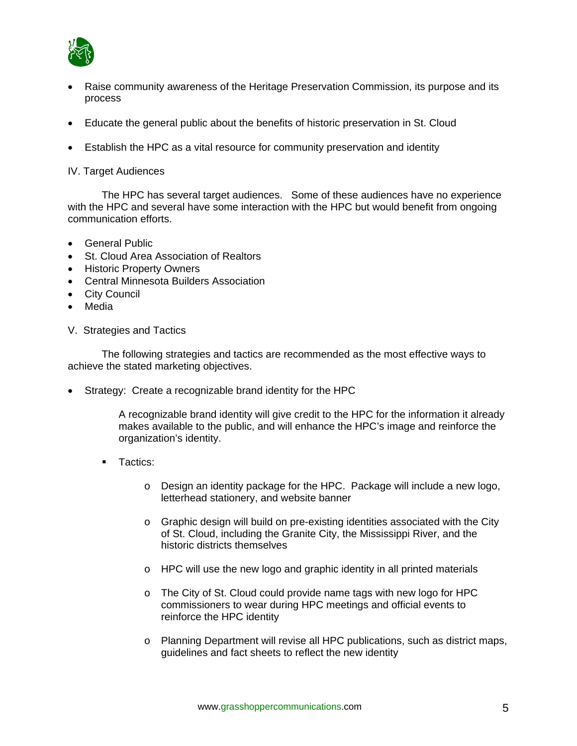

- Raise community awareness of the Heritage Preservation Commission, its purpose and its process
- Educate the general public about the benefits of historic preservation in St. Cloud
- Establish the HPC as a vital resource for community preservation and identity

#### IV. Target Audiences

 The HPC has several target audiences. Some of these audiences have no experience with the HPC and several have some interaction with the HPC but would benefit from ongoing communication efforts.

- General Public
- St. Cloud Area Association of Realtors
- Historic Property Owners
- Central Minnesota Builders Association
- City Council
- Media
- V. Strategies and Tactics

The following strategies and tactics are recommended as the most effective ways to achieve the stated marketing objectives.

• Strategy: Create a recognizable brand identity for the HPC

A recognizable brand identity will give credit to the HPC for the information it already makes available to the public, and will enhance the HPC's image and reinforce the organization's identity.

- **Tactics:** 
	- o Design an identity package for the HPC. Package will include a new logo, letterhead stationery, and website banner
	- $\circ$  Graphic design will build on pre-existing identities associated with the City of St. Cloud, including the Granite City, the Mississippi River, and the historic districts themselves
	- o HPC will use the new logo and graphic identity in all printed materials
	- o The City of St. Cloud could provide name tags with new logo for HPC commissioners to wear during HPC meetings and official events to reinforce the HPC identity
	- o Planning Department will revise all HPC publications, such as district maps, guidelines and fact sheets to reflect the new identity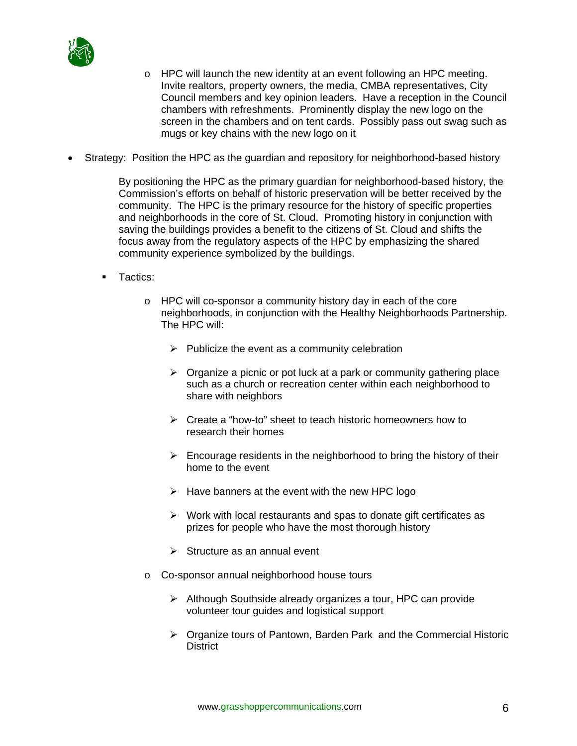

- $\circ$  HPC will launch the new identity at an event following an HPC meeting. Invite realtors, property owners, the media, CMBA representatives, City Council members and key opinion leaders. Have a reception in the Council chambers with refreshments. Prominently display the new logo on the screen in the chambers and on tent cards. Possibly pass out swag such as mugs or key chains with the new logo on it
- Strategy: Position the HPC as the guardian and repository for neighborhood-based history

By positioning the HPC as the primary guardian for neighborhood-based history, the Commission's efforts on behalf of historic preservation will be better received by the community. The HPC is the primary resource for the history of specific properties and neighborhoods in the core of St. Cloud. Promoting history in conjunction with saving the buildings provides a benefit to the citizens of St. Cloud and shifts the focus away from the regulatory aspects of the HPC by emphasizing the shared community experience symbolized by the buildings.

- **Tactics:** 
	- o HPC will co-sponsor a community history day in each of the core neighborhoods, in conjunction with the Healthy Neighborhoods Partnership. The HPC will:
		- $\triangleright$  Publicize the event as a community celebration
		- $\triangleright$  Organize a picnic or pot luck at a park or community gathering place such as a church or recreation center within each neighborhood to share with neighbors
		- ¾ Create a "how-to" sheet to teach historic homeowners how to research their homes
		- $\triangleright$  Encourage residents in the neighborhood to bring the history of their home to the event
		- $\triangleright$  Have banners at the event with the new HPC logo
		- $\triangleright$  Work with local restaurants and spas to donate gift certificates as prizes for people who have the most thorough history
		- $\triangleright$  Structure as an annual event
	- o Co-sponsor annual neighborhood house tours
		- $\triangleright$  Although Southside already organizes a tour, HPC can provide volunteer tour guides and logistical support
		- ¾ Organize tours of Pantown, Barden Park and the Commercial Historic **District**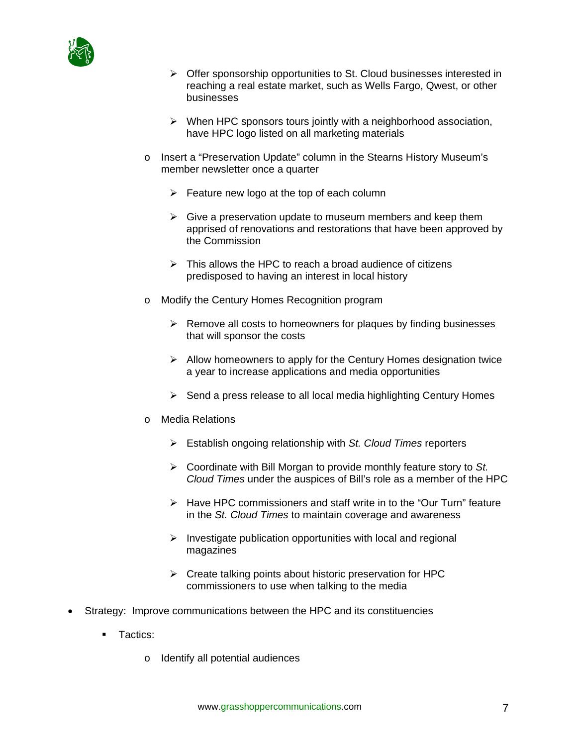

- $\triangleright$  Offer sponsorship opportunities to St. Cloud businesses interested in reaching a real estate market, such as Wells Fargo, Qwest, or other businesses
- $\triangleright$  When HPC sponsors tours jointly with a neighborhood association, have HPC logo listed on all marketing materials
- o Insert a "Preservation Update" column in the Stearns History Museum's member newsletter once a quarter
	- $\triangleright$  Feature new logo at the top of each column
	- $\triangleright$  Give a preservation update to museum members and keep them apprised of renovations and restorations that have been approved by the Commission
	- $\triangleright$  This allows the HPC to reach a broad audience of citizens predisposed to having an interest in local history
- o Modify the Century Homes Recognition program
	- $\triangleright$  Remove all costs to homeowners for plaques by finding businesses that will sponsor the costs
	- $\triangleright$  Allow homeowners to apply for the Century Homes designation twice a year to increase applications and media opportunities
	- $\triangleright$  Send a press release to all local media highlighting Century Homes
- o Media Relations
	- ¾ Establish ongoing relationship with *St. Cloud Times* reporters
	- ¾ Coordinate with Bill Morgan to provide monthly feature story to *St. Cloud Times* under the auspices of Bill's role as a member of the HPC
	- $\triangleright$  Have HPC commissioners and staff write in to the "Our Turn" feature in the *St. Cloud Times* to maintain coverage and awareness
	- $\triangleright$  Investigate publication opportunities with local and regional magazines
	- $\triangleright$  Create talking points about historic preservation for HPC commissioners to use when talking to the media
- Strategy: Improve communications between the HPC and its constituencies
	- **Tactics:** 
		- o Identify all potential audiences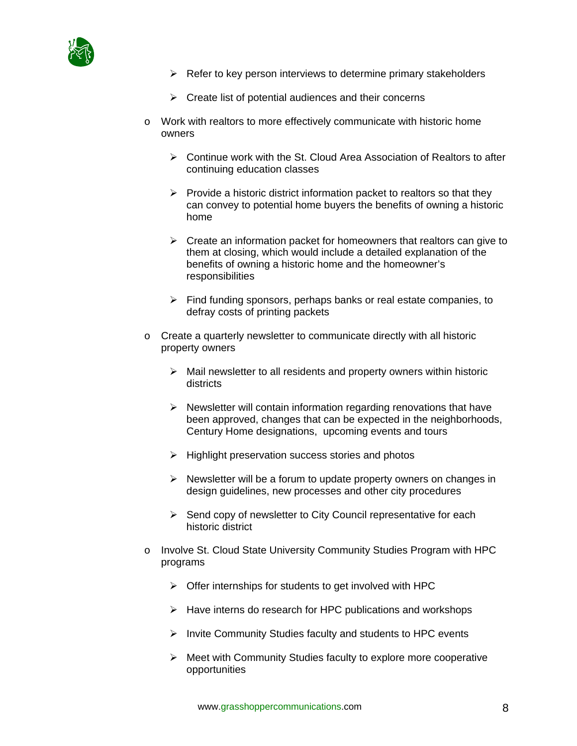

- $\triangleright$  Refer to key person interviews to determine primary stakeholders
- $\triangleright$  Create list of potential audiences and their concerns
- $\circ$  Work with realtors to more effectively communicate with historic home owners
	- $\triangleright$  Continue work with the St. Cloud Area Association of Realtors to after continuing education classes
	- $\triangleright$  Provide a historic district information packet to realtors so that they can convey to potential home buyers the benefits of owning a historic home
	- $\triangleright$  Create an information packet for homeowners that realtors can give to them at closing, which would include a detailed explanation of the benefits of owning a historic home and the homeowner's responsibilities
	- $\triangleright$  Find funding sponsors, perhaps banks or real estate companies, to defray costs of printing packets
- o Create a quarterly newsletter to communicate directly with all historic property owners
	- $\triangleright$  Mail newsletter to all residents and property owners within historic districts
	- $\triangleright$  Newsletter will contain information regarding renovations that have been approved, changes that can be expected in the neighborhoods, Century Home designations, upcoming events and tours
	- $\triangleright$  Highlight preservation success stories and photos
	- $\triangleright$  Newsletter will be a forum to update property owners on changes in design guidelines, new processes and other city procedures
	- $\triangleright$  Send copy of newsletter to City Council representative for each historic district
- o Involve St. Cloud State University Community Studies Program with HPC programs
	- $\triangleright$  Offer internships for students to get involved with HPC
	- $\triangleright$  Have interns do research for HPC publications and workshops
	- $\triangleright$  Invite Community Studies faculty and students to HPC events
	- ¾ Meet with Community Studies faculty to explore more cooperative opportunities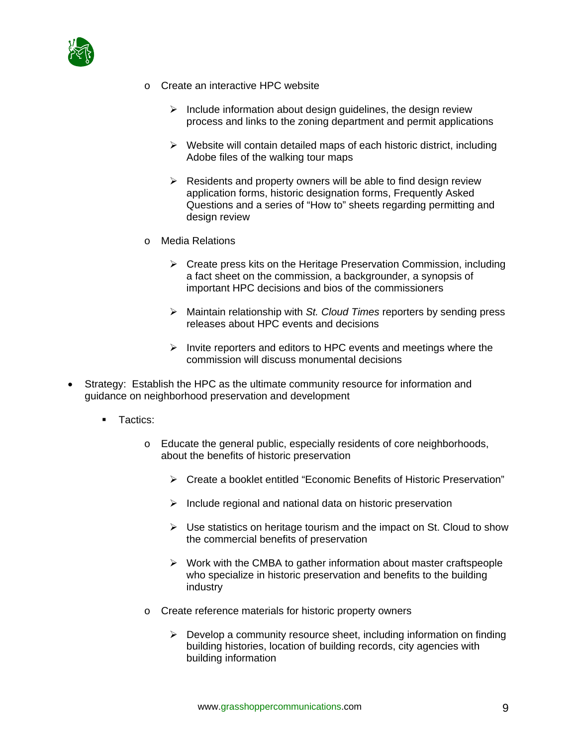

- o Create an interactive HPC website
	- $\triangleright$  Include information about design guidelines, the design review process and links to the zoning department and permit applications
	- $\triangleright$  Website will contain detailed maps of each historic district, including Adobe files of the walking tour maps
	- $\triangleright$  Residents and property owners will be able to find design review application forms, historic designation forms, Frequently Asked Questions and a series of "How to" sheets regarding permitting and design review
- o Media Relations
	- $\triangleright$  Create press kits on the Heritage Preservation Commission, including a fact sheet on the commission, a backgrounder, a synopsis of important HPC decisions and bios of the commissioners
	- ¾ Maintain relationship with *St. Cloud Times* reporters by sending press releases about HPC events and decisions
	- $\triangleright$  Invite reporters and editors to HPC events and meetings where the commission will discuss monumental decisions
- Strategy: Establish the HPC as the ultimate community resource for information and guidance on neighborhood preservation and development
	- **Tactics:** 
		- o Educate the general public, especially residents of core neighborhoods, about the benefits of historic preservation
			- ¾ Create a booklet entitled "Economic Benefits of Historic Preservation"
			- $\triangleright$  Include regional and national data on historic preservation
			- $\triangleright$  Use statistics on heritage tourism and the impact on St. Cloud to show the commercial benefits of preservation
			- $\triangleright$  Work with the CMBA to gather information about master craftspeople who specialize in historic preservation and benefits to the building industry
		- o Create reference materials for historic property owners
			- $\triangleright$  Develop a community resource sheet, including information on finding building histories, location of building records, city agencies with building information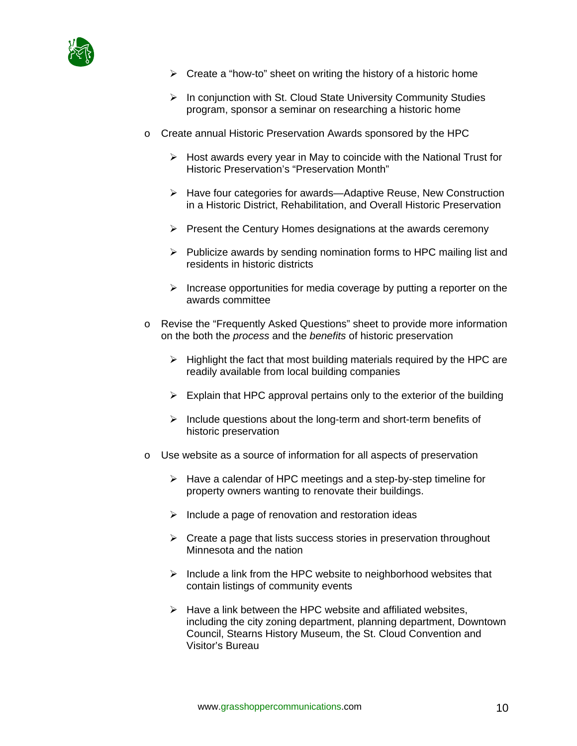

- $\triangleright$  Create a "how-to" sheet on writing the history of a historic home
- ¾ In conjunction with St. Cloud State University Community Studies program, sponsor a seminar on researching a historic home
- o Create annual Historic Preservation Awards sponsored by the HPC
	- $\triangleright$  Host awards every year in May to coincide with the National Trust for Historic Preservation's "Preservation Month"
	- ¾ Have four categories for awards—Adaptive Reuse, New Construction in a Historic District, Rehabilitation, and Overall Historic Preservation
	- $\triangleright$  Present the Century Homes designations at the awards ceremony
	- $\triangleright$  Publicize awards by sending nomination forms to HPC mailing list and residents in historic districts
	- $\triangleright$  Increase opportunities for media coverage by putting a reporter on the awards committee
- o Revise the "Frequently Asked Questions" sheet to provide more information on the both the *process* and the *benefits* of historic preservation
	- $\triangleright$  Highlight the fact that most building materials required by the HPC are readily available from local building companies
	- $\triangleright$  Explain that HPC approval pertains only to the exterior of the building
	- $\triangleright$  Include questions about the long-term and short-term benefits of historic preservation
- o Use website as a source of information for all aspects of preservation
	- $\triangleright$  Have a calendar of HPC meetings and a step-by-step timeline for property owners wanting to renovate their buildings.
	- $\triangleright$  Include a page of renovation and restoration ideas
	- $\triangleright$  Create a page that lists success stories in preservation throughout Minnesota and the nation
	- $\triangleright$  Include a link from the HPC website to neighborhood websites that contain listings of community events
	- $\triangleright$  Have a link between the HPC website and affiliated websites, including the city zoning department, planning department, Downtown Council, Stearns History Museum, the St. Cloud Convention and Visitor's Bureau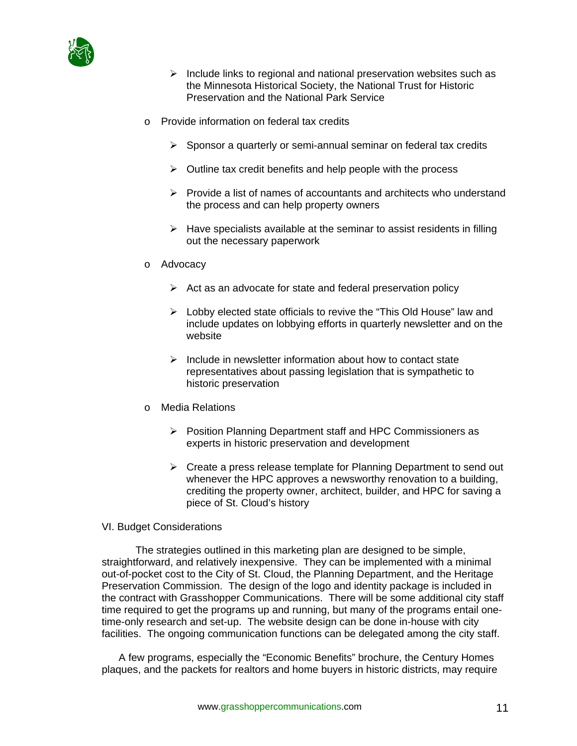

- $\triangleright$  Include links to regional and national preservation websites such as the Minnesota Historical Society, the National Trust for Historic Preservation and the National Park Service
- o Provide information on federal tax credits
	- $\triangleright$  Sponsor a quarterly or semi-annual seminar on federal tax credits
	- $\triangleright$  Outline tax credit benefits and help people with the process
	- $\triangleright$  Provide a list of names of accountants and architects who understand the process and can help property owners
	- $\triangleright$  Have specialists available at the seminar to assist residents in filling out the necessary paperwork
- o Advocacy
	- $\triangleright$  Act as an advocate for state and federal preservation policy
	- $\triangleright$  Lobby elected state officials to revive the "This Old House" law and include updates on lobbying efforts in quarterly newsletter and on the website
	- $\triangleright$  Include in newsletter information about how to contact state representatives about passing legislation that is sympathetic to historic preservation
- o Media Relations
	- ¾ Position Planning Department staff and HPC Commissioners as experts in historic preservation and development
	- $\triangleright$  Create a press release template for Planning Department to send out whenever the HPC approves a newsworthy renovation to a building, crediting the property owner, architect, builder, and HPC for saving a piece of St. Cloud's history
- VI. Budget Considerations

 The strategies outlined in this marketing plan are designed to be simple, straightforward, and relatively inexpensive. They can be implemented with a minimal out-of-pocket cost to the City of St. Cloud, the Planning Department, and the Heritage Preservation Commission. The design of the logo and identity package is included in the contract with Grasshopper Communications. There will be some additional city staff time required to get the programs up and running, but many of the programs entail onetime-only research and set-up. The website design can be done in-house with city facilities. The ongoing communication functions can be delegated among the city staff.

A few programs, especially the "Economic Benefits" brochure, the Century Homes plaques, and the packets for realtors and home buyers in historic districts, may require